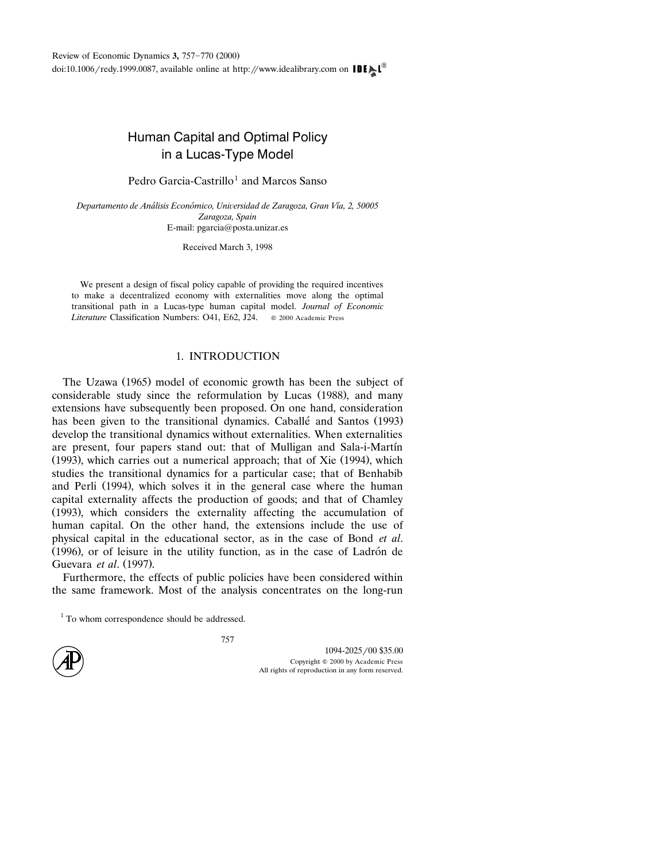## Human Capital and Optimal Policy in a Lucas-Type Model

Pedro Garcia-Castrillo<sup>1</sup> and Marcos Sanso

Departamento de Análisis Económico, Universidad de Zaragoza, Gran Vía, 2, 50005 *Zaragoza, Spain* E-mail: pgarcia@posta.unizar.es

Received March 3, 1998

We present a design of fiscal policy capable of providing the required incentives to make a decentralized economy with externalities move along the optimal transitional path in a Lucas-type human capital model. *Journal of Economic Literature* Classification Numbers: O41, E62, J24. 2000 Academic Press

## 1. INTRODUCTION

The Uzawa (1965) model of economic growth has been the subject of considerable study since the reformulation by Lucas (1988), and many extensions have subsequently been proposed. On one hand, consideration has been given to the transitional dynamics. Caballé and Santos (1993) develop the transitional dynamics without externalities. When externalities are present, four papers stand out: that of Mulligan and Sala-i-Martín  $(1993)$ , which carries out a numerical approach; that of Xie  $(1994)$ , which studies the transitional dynamics for a particular case; that of Benhabib and Perli (1994), which solves it in the general case where the human capital externality affects the production of goods; and that of Chamley (1993), which considers the externality affecting the accumulation of human capital. On the other hand, the extensions include the use of physical capital in the educational sector, as in the case of Bond *et al*.  $(1996)$ , or of leisure in the utility function, as in the case of Ladrón de Guevara *et al.* (1997).

Furthermore, the effects of public policies have been considered within the same framework. Most of the analysis concentrates on the long-run

<sup>&</sup>lt;sup>1</sup> To whom correspondence should be addressed.

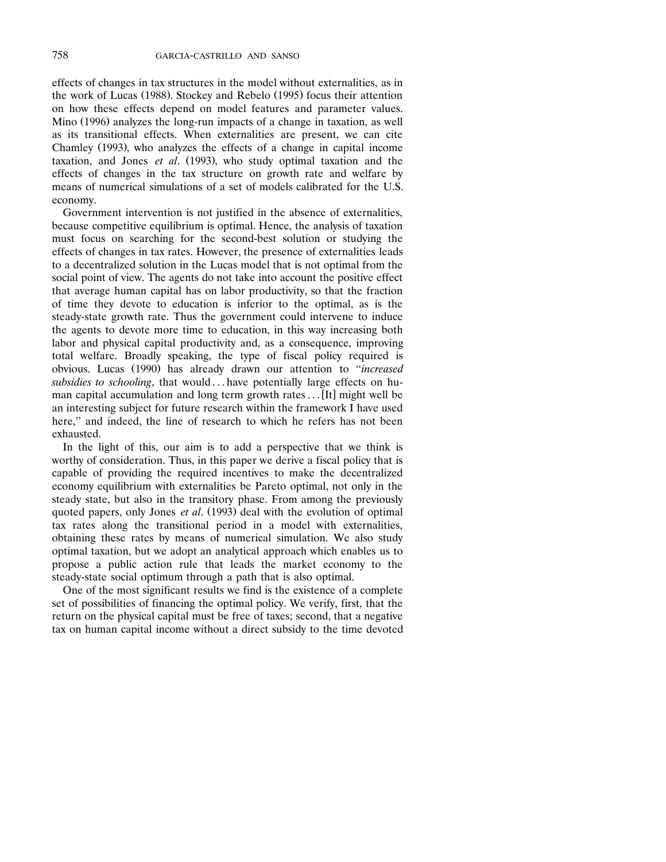effects of changes in tax structures in the model without externalities, as in the work of Lucas (1988). Stockey and Rebelo (1995) focus their attention on how these effects depend on model features and parameter values. Mino (1996) analyzes the long-run impacts of a change in taxation, as well as its transitional effects. When externalities are present, we can cite Chamley (1993), who analyzes the effects of a change in capital income taxation, and Jones *et al.* (1993), who study optimal taxation and the effects of changes in the tax structure on growth rate and welfare by means of numerical simulations of a set of models calibrated for the U.S. economy.

Government intervention is not justified in the absence of externalities, because competitive equilibrium is optimal. Hence, the analysis of taxation must focus on searching for the second-best solution or studying the effects of changes in tax rates. However, the presence of externalities leads to a decentralized solution in the Lucas model that is not optimal from the social point of view. The agents do not take into account the positive effect that average human capital has on labor productivity, so that the fraction of time they devote to education is inferior to the optimal, as is the steady-state growth rate. Thus the government could intervene to induce the agents to devote more time to education, in this way increasing both labor and physical capital productivity and, as a consequence, improving total welfare. Broadly speaking, the type of fiscal policy required is obvious. Lucas (1990) has already drawn our attention to "*increased* subsidies to schooling, that would . . . have potentially large effects on human capital accumulation and long term growth rates  $\ldots$  [It] might well be an interesting subject for future research within the framework I have used here," and indeed, the line of research to which he refers has not been exhausted.

In the light of this, our aim is to add a perspective that we think is worthy of consideration. Thus, in this paper we derive a fiscal policy that is capable of providing the required incentives to make the decentralized economy equilibrium with externalities be Pareto optimal, not only in the steady state, but also in the transitory phase. From among the previously quoted papers, only Jones *et al.* (1993) deal with the evolution of optimal tax rates along the transitional period in a model with externalities, obtaining these rates by means of numerical simulation. We also study optimal taxation, but we adopt an analytical approach which enables us to propose a public action rule that leads the market economy to the steady-state social optimum through a path that is also optimal.

One of the most significant results we find is the existence of a complete set of possibilities of financing the optimal policy. We verify, first, that the return on the physical capital must be free of taxes; second, that a negative tax on human capital income without a direct subsidy to the time devoted